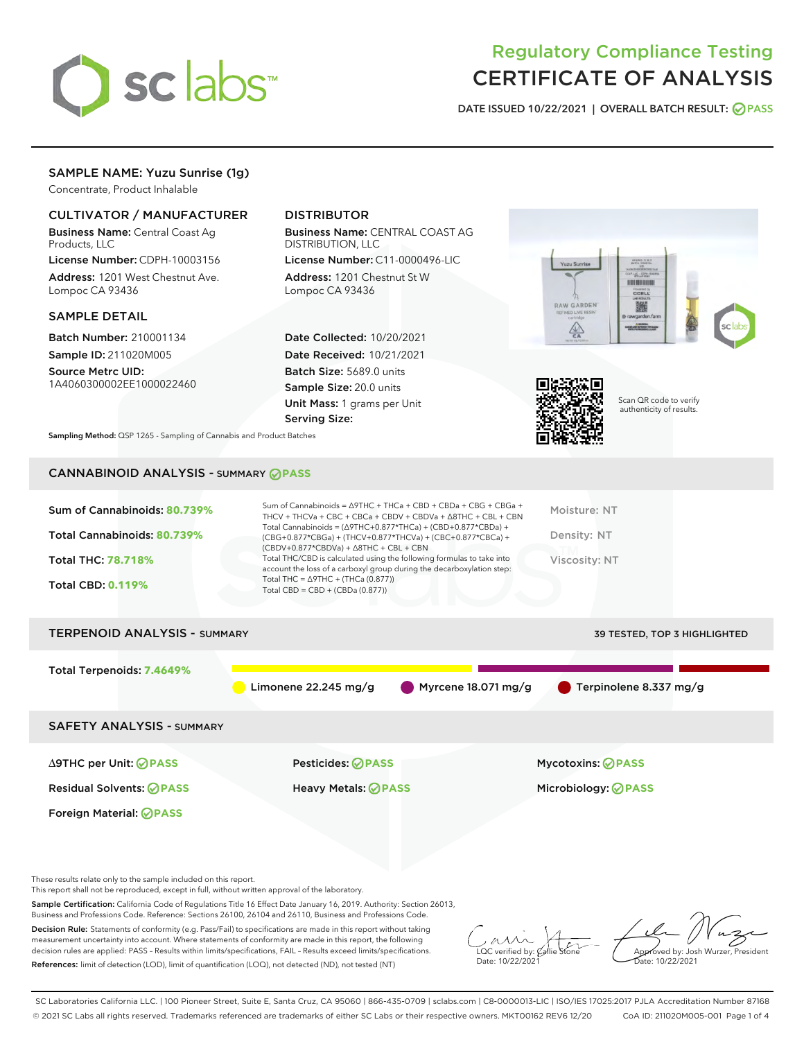

# Regulatory Compliance Testing CERTIFICATE OF ANALYSIS

DATE ISSUED 10/22/2021 | OVERALL BATCH RESULT: @ PASS

# SAMPLE NAME: Yuzu Sunrise (1g)

Concentrate, Product Inhalable

# CULTIVATOR / MANUFACTURER

Business Name: Central Coast Ag Products, LLC

License Number: CDPH-10003156 Address: 1201 West Chestnut Ave. Lompoc CA 93436

#### SAMPLE DETAIL

Batch Number: 210001134 Sample ID: 211020M005

Source Metrc UID: 1A4060300002EE1000022460

# DISTRIBUTOR

Business Name: CENTRAL COAST AG DISTRIBUTION, LLC

License Number: C11-0000496-LIC Address: 1201 Chestnut St W Lompoc CA 93436

Date Collected: 10/20/2021 Date Received: 10/21/2021 Batch Size: 5689.0 units Sample Size: 20.0 units Unit Mass: 1 grams per Unit Serving Size:





Scan QR code to verify authenticity of results.

Sampling Method: QSP 1265 - Sampling of Cannabis and Product Batches

# CANNABINOID ANALYSIS - SUMMARY **PASS**

| Sum of Cannabinoids: 80.739%<br>Total Cannabinoids: 80.739%<br>Total THC: 78.718%<br><b>Total CBD: 0.119%</b> | Sum of Cannabinoids = $\triangle$ 9THC + THCa + CBD + CBDa + CBG + CBGa +<br>THCV + THCVa + CBC + CBCa + CBDV + CBDVa + $\Delta$ 8THC + CBL + CBN<br>Total Cannabinoids = $(\Delta$ 9THC+0.877*THCa) + (CBD+0.877*CBDa) +<br>(CBG+0.877*CBGa) + (THCV+0.877*THCVa) + (CBC+0.877*CBCa) +<br>$(CBDV+0.877*CBDVa) + \Delta 8THC + CBL + CBN$<br>Total THC/CBD is calculated using the following formulas to take into<br>account the loss of a carboxyl group during the decarboxylation step:<br>Total THC = $\triangle$ 9THC + (THCa (0.877))<br>Total CBD = $CBD + (CBDa (0.877))$ | Moisture: NT<br>Density: NT<br>Viscosity: NT           |  |  |  |  |  |
|---------------------------------------------------------------------------------------------------------------|------------------------------------------------------------------------------------------------------------------------------------------------------------------------------------------------------------------------------------------------------------------------------------------------------------------------------------------------------------------------------------------------------------------------------------------------------------------------------------------------------------------------------------------------------------------------------------|--------------------------------------------------------|--|--|--|--|--|
|                                                                                                               | <b>TERPENOID ANALYSIS - SUMMARY</b><br><b>39 TESTED, TOP 3 HIGHLIGHTED</b>                                                                                                                                                                                                                                                                                                                                                                                                                                                                                                         |                                                        |  |  |  |  |  |
| Total Terpenoids: 7.4649%                                                                                     | Limonene $22.245$ mg/g<br>Myrcene 18.071 mg/g                                                                                                                                                                                                                                                                                                                                                                                                                                                                                                                                      | Terpinolene 8.337 mg/g                                 |  |  |  |  |  |
| <b>SAFETY ANALYSIS - SUMMARY</b>                                                                              |                                                                                                                                                                                                                                                                                                                                                                                                                                                                                                                                                                                    |                                                        |  |  |  |  |  |
| $\triangle$ 9THC per Unit: $\oslash$ PASS<br><b>Residual Solvents: ⊘PASS</b>                                  | <b>Pesticides: ⊘ PASS</b><br>Heavy Metals: <b>⊘</b> PASS                                                                                                                                                                                                                                                                                                                                                                                                                                                                                                                           | <b>Mycotoxins: ⊘PASS</b><br>Microbiology: <b>OPASS</b> |  |  |  |  |  |

These results relate only to the sample included on this report.

Foreign Material: **PASS**

This report shall not be reproduced, except in full, without written approval of the laboratory.

Sample Certification: California Code of Regulations Title 16 Effect Date January 16, 2019. Authority: Section 26013, Business and Professions Code. Reference: Sections 26100, 26104 and 26110, Business and Professions Code.

Decision Rule: Statements of conformity (e.g. Pass/Fail) to specifications are made in this report without taking measurement uncertainty into account. Where statements of conformity are made in this report, the following decision rules are applied: PASS – Results within limits/specifications, FAIL – Results exceed limits/specifications. References: limit of detection (LOD), limit of quantification (LOQ), not detected (ND), not tested (NT)

 $\sim$  CC verified by:  $\mathcal{C}$ allie Date: 10/22/2021

Approved by: Josh Wurzer, President ate: 10/22/2021

SC Laboratories California LLC. | 100 Pioneer Street, Suite E, Santa Cruz, CA 95060 | 866-435-0709 | sclabs.com | C8-0000013-LIC | ISO/IES 17025:2017 PJLA Accreditation Number 87168 © 2021 SC Labs all rights reserved. Trademarks referenced are trademarks of either SC Labs or their respective owners. MKT00162 REV6 12/20 CoA ID: 211020M005-001 Page 1 of 4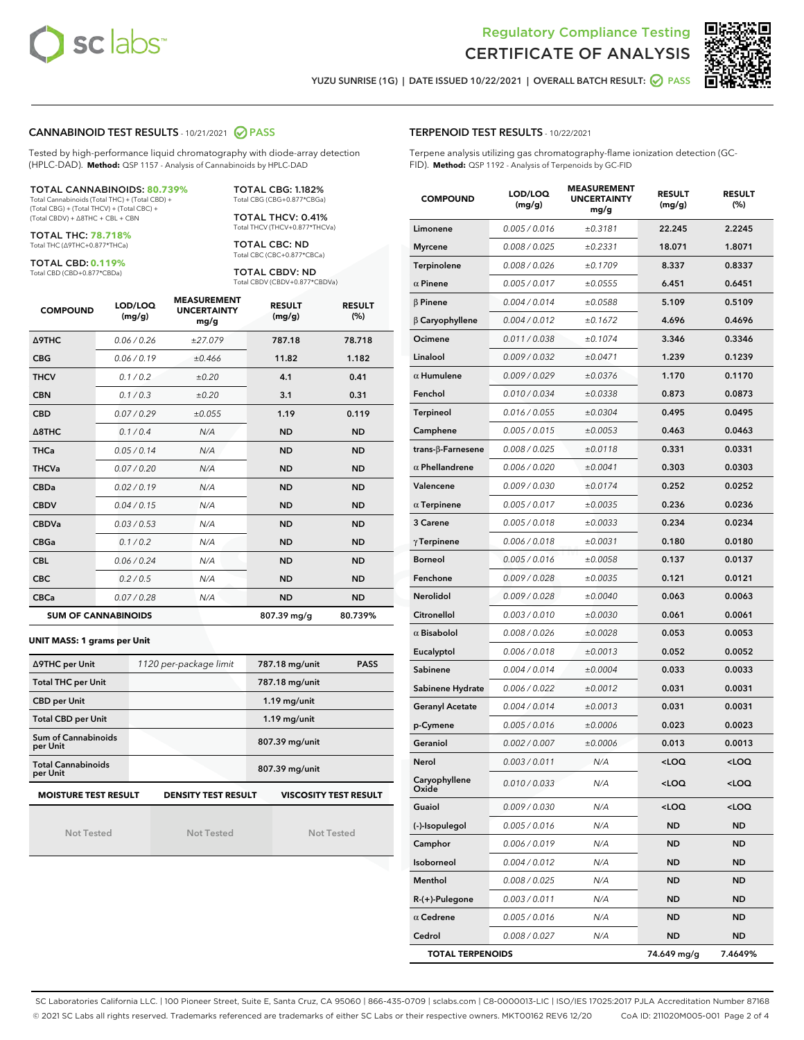



YUZU SUNRISE (1G) | DATE ISSUED 10/22/2021 | OVERALL BATCH RESULT: ◯ PASS

#### CANNABINOID TEST RESULTS - 10/21/2021 2 PASS

Tested by high-performance liquid chromatography with diode-array detection (HPLC-DAD). **Method:** QSP 1157 - Analysis of Cannabinoids by HPLC-DAD

#### TOTAL CANNABINOIDS: **80.739%**

Total Cannabinoids (Total THC) + (Total CBD) + (Total CBG) + (Total THCV) + (Total CBC) + (Total CBDV) + ∆8THC + CBL + CBN

TOTAL THC: **78.718%** Total THC (∆9THC+0.877\*THCa)

TOTAL CBD: **0.119%**

Total CBD (CBD+0.877\*CBDa)

TOTAL CBG: 1.182% Total CBG (CBG+0.877\*CBGa)

TOTAL THCV: 0.41% Total THCV (THCV+0.877\*THCVa)

TOTAL CBC: ND Total CBC (CBC+0.877\*CBCa)

TOTAL CBDV: ND Total CBDV (CBDV+0.877\*CBDVa)

| <b>COMPOUND</b>  | LOD/LOQ<br>(mg/g)          | <b>MEASUREMENT</b><br><b>UNCERTAINTY</b><br>mg/g | <b>RESULT</b><br>(mg/g) | <b>RESULT</b><br>(%) |
|------------------|----------------------------|--------------------------------------------------|-------------------------|----------------------|
| <b>A9THC</b>     | 0.06 / 0.26                | ±27.079                                          | 787.18                  | 78.718               |
| <b>CBG</b>       | 0.06/0.19                  | ±0.466                                           | 11.82                   | 1.182                |
| <b>THCV</b>      | 0.1/0.2                    | ±0.20                                            | 4.1                     | 0.41                 |
| <b>CBN</b>       | 0.1/0.3                    | ±0.20                                            | 3.1                     | 0.31                 |
| <b>CBD</b>       | 0.07/0.29                  | ±0.055                                           | 1.19                    | 0.119                |
| $\triangle$ 8THC | 0.1/0.4                    | N/A                                              | <b>ND</b>               | <b>ND</b>            |
| THCa             | 0.05 / 0.14                | N/A                                              | <b>ND</b>               | <b>ND</b>            |
| <b>THCVa</b>     | 0.07/0.20                  | N/A                                              | <b>ND</b>               | <b>ND</b>            |
| <b>CBDa</b>      | 0.02/0.19                  | N/A                                              | <b>ND</b>               | <b>ND</b>            |
| <b>CBDV</b>      | 0.04 / 0.15                | N/A                                              | <b>ND</b>               | <b>ND</b>            |
| <b>CBDVa</b>     | 0.03/0.53                  | N/A                                              | <b>ND</b>               | <b>ND</b>            |
| <b>CBGa</b>      | 0.1 / 0.2                  | N/A                                              | <b>ND</b>               | <b>ND</b>            |
| <b>CBL</b>       | 0.06 / 0.24                | N/A                                              | <b>ND</b>               | <b>ND</b>            |
| <b>CBC</b>       | 0.2 / 0.5                  | N/A                                              | <b>ND</b>               | <b>ND</b>            |
| <b>CBCa</b>      | 0.07/0.28                  | N/A                                              | <b>ND</b>               | <b>ND</b>            |
|                  | <b>SUM OF CANNABINOIDS</b> |                                                  | 807.39 mg/g             | 80.739%              |

**UNIT MASS: 1 grams per Unit**

| ∆9THC per Unit                                                                            | 1120 per-package limit | 787.18 mg/unit<br><b>PASS</b> |  |  |  |
|-------------------------------------------------------------------------------------------|------------------------|-------------------------------|--|--|--|
| <b>Total THC per Unit</b>                                                                 |                        | 787.18 mg/unit                |  |  |  |
| <b>CBD per Unit</b>                                                                       |                        | $1.19$ mg/unit                |  |  |  |
| <b>Total CBD per Unit</b>                                                                 |                        | $1.19$ mg/unit                |  |  |  |
| Sum of Cannabinoids<br>per Unit                                                           |                        | 807.39 mg/unit                |  |  |  |
| <b>Total Cannabinoids</b><br>per Unit                                                     |                        | 807.39 mg/unit                |  |  |  |
| <b>MOISTURE TEST RESULT</b><br><b>DENSITY TEST RESULT</b><br><b>VISCOSITY TEST RESULT</b> |                        |                               |  |  |  |

Not Tested

Not Tested

Not Tested

#### TERPENOID TEST RESULTS - 10/22/2021

Terpene analysis utilizing gas chromatography-flame ionization detection (GC-FID). **Method:** QSP 1192 - Analysis of Terpenoids by GC-FID

| <b>COMPOUND</b>         | LOD/LOQ<br>(mg/g) | <b>MEASUREMENT</b><br><b>UNCERTAINTY</b><br>mg/g | <b>RESULT</b><br>(mg/g)                         | <b>RESULT</b><br>(%) |
|-------------------------|-------------------|--------------------------------------------------|-------------------------------------------------|----------------------|
| Limonene                | 0.005 / 0.016     | ±0.3181                                          | 22.245                                          | 2.2245               |
| <b>Myrcene</b>          | 0.008 / 0.025     | ±0.2331                                          | 18.071                                          | 1.8071               |
| Terpinolene             | 0.008 / 0.026     | ±0.1709                                          | 8.337                                           | 0.8337               |
| $\alpha$ Pinene         | 0.005 / 0.017     | ±0.0555                                          | 6.451                                           | 0.6451               |
| $\beta$ Pinene          | 0.004 / 0.014     | ±0.0588                                          | 5.109                                           | 0.5109               |
| $\beta$ Caryophyllene   | 0.004 / 0.012     | ±0.1672                                          | 4.696                                           | 0.4696               |
| Ocimene                 | 0.011 / 0.038     | ±0.1074                                          | 3.346                                           | 0.3346               |
| Linalool                | 0.009 / 0.032     | ±0.0471                                          | 1.239                                           | 0.1239               |
| $\alpha$ Humulene       | 0.009/0.029       | ±0.0376                                          | 1.170                                           | 0.1170               |
| Fenchol                 | 0.010 / 0.034     | ±0.0338                                          | 0.873                                           | 0.0873               |
| <b>Terpineol</b>        | 0.016 / 0.055     | ±0.0304                                          | 0.495                                           | 0.0495               |
| Camphene                | 0.005 / 0.015     | ±0.0053                                          | 0.463                                           | 0.0463               |
| trans-ß-Farnesene       | 0.008 / 0.025     | ±0.0118                                          | 0.331                                           | 0.0331               |
| $\alpha$ Phellandrene   | 0.006 / 0.020     | ±0.0041                                          | 0.303                                           | 0.0303               |
| Valencene               | 0.009 / 0.030     | ±0.0174                                          | 0.252                                           | 0.0252               |
| $\alpha$ Terpinene      | 0.005 / 0.017     | ±0.0035                                          | 0.236                                           | 0.0236               |
| 3 Carene                | 0.005 / 0.018     | ±0.0033                                          | 0.234                                           | 0.0234               |
| $\gamma$ Terpinene      | 0.006 / 0.018     | ±0.0031                                          | 0.180                                           | 0.0180               |
| <b>Borneol</b>          | 0.005 / 0.016     | ±0.0058                                          | 0.137                                           | 0.0137               |
| Fenchone                | 0.009 / 0.028     | ±0.0035                                          | 0.121                                           | 0.0121               |
| Nerolidol               | 0.009 / 0.028     | ±0.0040                                          | 0.063                                           | 0.0063               |
| Citronellol             | 0.003 / 0.010     | ±0.0030                                          | 0.061                                           | 0.0061               |
| $\alpha$ Bisabolol      | 0.008 / 0.026     | ±0.0028                                          | 0.053                                           | 0.0053               |
| Eucalyptol              | 0.006 / 0.018     | ±0.0013                                          | 0.052                                           | 0.0052               |
| Sabinene                | 0.004 / 0.014     | ±0.0004                                          | 0.033                                           | 0.0033               |
| Sabinene Hydrate        | 0.006 / 0.022     | ±0.0012                                          | 0.031                                           | 0.0031               |
| <b>Geranyl Acetate</b>  | 0.004 / 0.014     | ±0.0013                                          | 0.031                                           | 0.0031               |
| p-Cymene                | 0.005 / 0.016     | ±0.0006                                          | 0.023                                           | 0.0023               |
| Geraniol                | 0.002 / 0.007     | ±0.0006                                          | 0.013                                           | 0.0013               |
| Nerol                   | 0.003 / 0.011     | N/A                                              | <loq< th=""><th><loq< th=""></loq<></th></loq<> | <loq< th=""></loq<>  |
| Caryophyllene<br>Oxide  | 0.010 / 0.033     | N/A                                              | <loq< th=""><th><loq< th=""></loq<></th></loq<> | <loq< th=""></loq<>  |
| Guaiol                  | 0.009 / 0.030     | N/A                                              | <loq< th=""><th><loq< th=""></loq<></th></loq<> | <loq< th=""></loq<>  |
| (-)-Isopulegol          | 0.005 / 0.016     | N/A                                              | ND                                              | <b>ND</b>            |
| Camphor                 | 0.006 / 0.019     | N/A                                              | ND                                              | ND                   |
| Isoborneol              | 0.004 / 0.012     | N/A                                              | ND                                              | ND                   |
| Menthol                 | 0.008 / 0.025     | N/A                                              | ND                                              | ND                   |
| $R-(+)$ -Pulegone       | 0.003 / 0.011     | N/A                                              | ND                                              | <b>ND</b>            |
| $\alpha$ Cedrene        | 0.005 / 0.016     | N/A                                              | ND                                              | ND                   |
| Cedrol                  | 0.008 / 0.027     | N/A                                              | ND                                              | ND                   |
| <b>TOTAL TERPENOIDS</b> |                   |                                                  | 74.649 mg/g                                     | 7.4649%              |

SC Laboratories California LLC. | 100 Pioneer Street, Suite E, Santa Cruz, CA 95060 | 866-435-0709 | sclabs.com | C8-0000013-LIC | ISO/IES 17025:2017 PJLA Accreditation Number 87168 © 2021 SC Labs all rights reserved. Trademarks referenced are trademarks of either SC Labs or their respective owners. MKT00162 REV6 12/20 CoA ID: 211020M005-001 Page 2 of 4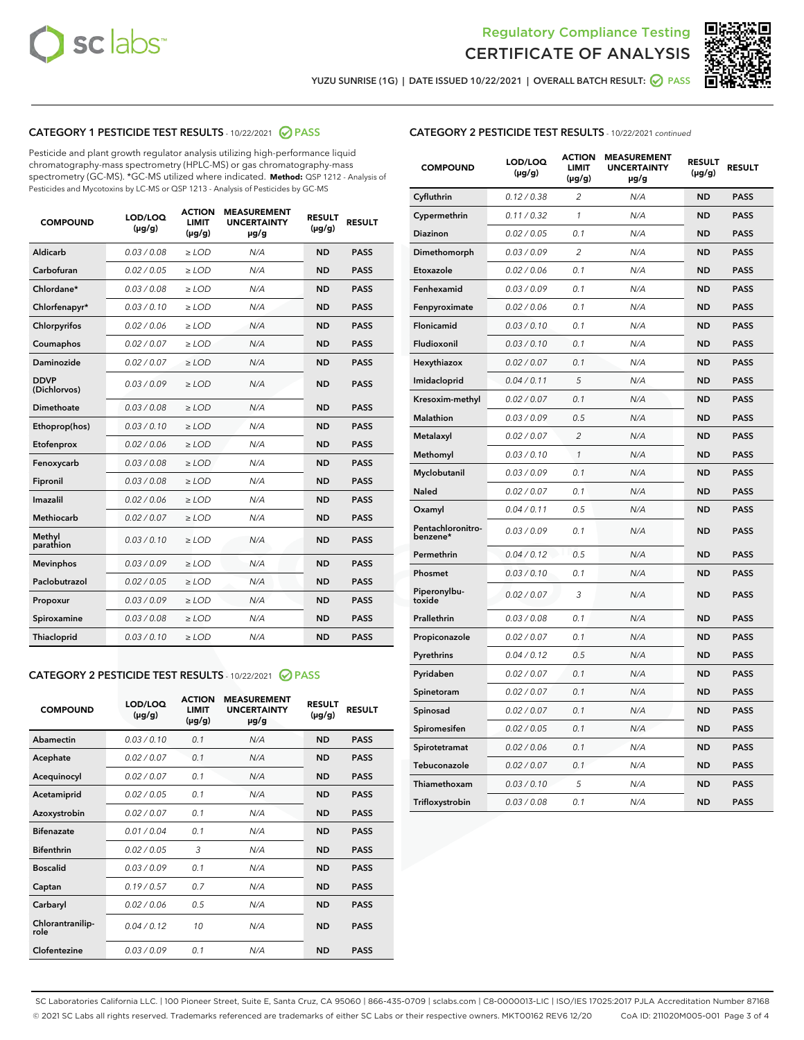



YUZU SUNRISE (1G) | DATE ISSUED 10/22/2021 | OVERALL BATCH RESULT:  $\bigcirc$  PASS

### CATEGORY 1 PESTICIDE TEST RESULTS - 10/22/2021 2 PASS

Pesticide and plant growth regulator analysis utilizing high-performance liquid chromatography-mass spectrometry (HPLC-MS) or gas chromatography-mass spectrometry (GC-MS). \*GC-MS utilized where indicated. **Method:** QSP 1212 - Analysis of Pesticides and Mycotoxins by LC-MS or QSP 1213 - Analysis of Pesticides by GC-MS

| <b>Aldicarb</b><br>0.03 / 0.08<br><b>ND</b><br>$\ge$ LOD<br>N/A<br><b>PASS</b><br>Carbofuran<br>0.02/0.05<br>$\ge$ LOD<br>N/A<br><b>ND</b><br><b>PASS</b><br>Chlordane*<br>0.03 / 0.08<br><b>ND</b><br>$>$ LOD<br>N/A<br><b>PASS</b><br>0.03/0.10<br><b>ND</b><br><b>PASS</b><br>Chlorfenapyr*<br>$\ge$ LOD<br>N/A<br>0.02 / 0.06<br>N/A<br><b>ND</b><br><b>PASS</b><br>Chlorpyrifos<br>$\ge$ LOD<br>0.02 / 0.07<br>N/A<br><b>ND</b><br><b>PASS</b><br>Coumaphos<br>$>$ LOD<br>Daminozide<br>0.02 / 0.07<br>$\ge$ LOD<br>N/A<br><b>ND</b><br><b>PASS</b><br><b>DDVP</b><br>0.03/0.09<br>$\ge$ LOD<br>N/A<br><b>ND</b><br><b>PASS</b><br>(Dichlorvos)<br>Dimethoate<br><b>ND</b><br><b>PASS</b><br>0.03/0.08<br>$>$ LOD<br>N/A<br>0.03/0.10<br>Ethoprop(hos)<br>$\ge$ LOD<br>N/A<br><b>ND</b><br><b>PASS</b><br>0.02/0.06<br>$\ge$ LOD<br>N/A<br><b>ND</b><br><b>PASS</b><br>Etofenprox<br>Fenoxycarb<br>0.03/0.08<br>$>$ LOD<br>N/A<br><b>ND</b><br><b>PASS</b><br>0.03/0.08<br><b>ND</b><br><b>PASS</b><br>Fipronil<br>$\ge$ LOD<br>N/A<br>Imazalil<br>0.02 / 0.06<br>$>$ LOD<br>N/A<br><b>ND</b><br><b>PASS</b><br>0.02 / 0.07<br>Methiocarb<br>N/A<br><b>ND</b><br>$>$ LOD<br><b>PASS</b><br>Methyl<br>0.03/0.10<br>$\ge$ LOD<br>N/A<br><b>ND</b><br><b>PASS</b><br>parathion<br>0.03/0.09<br>$\ge$ LOD<br>N/A<br><b>ND</b><br><b>PASS</b><br><b>Mevinphos</b><br>Paclobutrazol<br>0.02 / 0.05<br>$\ge$ LOD<br>N/A<br><b>ND</b><br><b>PASS</b><br>0.03/0.09<br>N/A<br>$\ge$ LOD<br><b>ND</b><br><b>PASS</b><br>Propoxur<br>0.03/0.08<br><b>ND</b><br><b>PASS</b><br>Spiroxamine<br>$\ge$ LOD<br>N/A<br><b>PASS</b><br>Thiacloprid<br>0.03/0.10<br>$\ge$ LOD<br>N/A<br><b>ND</b> | <b>COMPOUND</b> | LOD/LOQ<br>$(\mu g/g)$ | <b>ACTION</b><br>LIMIT<br>$(\mu g/g)$ | <b>MEASUREMENT</b><br><b>UNCERTAINTY</b><br>$\mu$ g/g | <b>RESULT</b><br>$(\mu g/g)$ | <b>RESULT</b> |
|------------------------------------------------------------------------------------------------------------------------------------------------------------------------------------------------------------------------------------------------------------------------------------------------------------------------------------------------------------------------------------------------------------------------------------------------------------------------------------------------------------------------------------------------------------------------------------------------------------------------------------------------------------------------------------------------------------------------------------------------------------------------------------------------------------------------------------------------------------------------------------------------------------------------------------------------------------------------------------------------------------------------------------------------------------------------------------------------------------------------------------------------------------------------------------------------------------------------------------------------------------------------------------------------------------------------------------------------------------------------------------------------------------------------------------------------------------------------------------------------------------------------------------------------------------------------------------------------------------------------------------------------------------------------------------|-----------------|------------------------|---------------------------------------|-------------------------------------------------------|------------------------------|---------------|
|                                                                                                                                                                                                                                                                                                                                                                                                                                                                                                                                                                                                                                                                                                                                                                                                                                                                                                                                                                                                                                                                                                                                                                                                                                                                                                                                                                                                                                                                                                                                                                                                                                                                                    |                 |                        |                                       |                                                       |                              |               |
|                                                                                                                                                                                                                                                                                                                                                                                                                                                                                                                                                                                                                                                                                                                                                                                                                                                                                                                                                                                                                                                                                                                                                                                                                                                                                                                                                                                                                                                                                                                                                                                                                                                                                    |                 |                        |                                       |                                                       |                              |               |
|                                                                                                                                                                                                                                                                                                                                                                                                                                                                                                                                                                                                                                                                                                                                                                                                                                                                                                                                                                                                                                                                                                                                                                                                                                                                                                                                                                                                                                                                                                                                                                                                                                                                                    |                 |                        |                                       |                                                       |                              |               |
|                                                                                                                                                                                                                                                                                                                                                                                                                                                                                                                                                                                                                                                                                                                                                                                                                                                                                                                                                                                                                                                                                                                                                                                                                                                                                                                                                                                                                                                                                                                                                                                                                                                                                    |                 |                        |                                       |                                                       |                              |               |
|                                                                                                                                                                                                                                                                                                                                                                                                                                                                                                                                                                                                                                                                                                                                                                                                                                                                                                                                                                                                                                                                                                                                                                                                                                                                                                                                                                                                                                                                                                                                                                                                                                                                                    |                 |                        |                                       |                                                       |                              |               |
|                                                                                                                                                                                                                                                                                                                                                                                                                                                                                                                                                                                                                                                                                                                                                                                                                                                                                                                                                                                                                                                                                                                                                                                                                                                                                                                                                                                                                                                                                                                                                                                                                                                                                    |                 |                        |                                       |                                                       |                              |               |
|                                                                                                                                                                                                                                                                                                                                                                                                                                                                                                                                                                                                                                                                                                                                                                                                                                                                                                                                                                                                                                                                                                                                                                                                                                                                                                                                                                                                                                                                                                                                                                                                                                                                                    |                 |                        |                                       |                                                       |                              |               |
|                                                                                                                                                                                                                                                                                                                                                                                                                                                                                                                                                                                                                                                                                                                                                                                                                                                                                                                                                                                                                                                                                                                                                                                                                                                                                                                                                                                                                                                                                                                                                                                                                                                                                    |                 |                        |                                       |                                                       |                              |               |
|                                                                                                                                                                                                                                                                                                                                                                                                                                                                                                                                                                                                                                                                                                                                                                                                                                                                                                                                                                                                                                                                                                                                                                                                                                                                                                                                                                                                                                                                                                                                                                                                                                                                                    |                 |                        |                                       |                                                       |                              |               |
|                                                                                                                                                                                                                                                                                                                                                                                                                                                                                                                                                                                                                                                                                                                                                                                                                                                                                                                                                                                                                                                                                                                                                                                                                                                                                                                                                                                                                                                                                                                                                                                                                                                                                    |                 |                        |                                       |                                                       |                              |               |
|                                                                                                                                                                                                                                                                                                                                                                                                                                                                                                                                                                                                                                                                                                                                                                                                                                                                                                                                                                                                                                                                                                                                                                                                                                                                                                                                                                                                                                                                                                                                                                                                                                                                                    |                 |                        |                                       |                                                       |                              |               |
|                                                                                                                                                                                                                                                                                                                                                                                                                                                                                                                                                                                                                                                                                                                                                                                                                                                                                                                                                                                                                                                                                                                                                                                                                                                                                                                                                                                                                                                                                                                                                                                                                                                                                    |                 |                        |                                       |                                                       |                              |               |
|                                                                                                                                                                                                                                                                                                                                                                                                                                                                                                                                                                                                                                                                                                                                                                                                                                                                                                                                                                                                                                                                                                                                                                                                                                                                                                                                                                                                                                                                                                                                                                                                                                                                                    |                 |                        |                                       |                                                       |                              |               |
|                                                                                                                                                                                                                                                                                                                                                                                                                                                                                                                                                                                                                                                                                                                                                                                                                                                                                                                                                                                                                                                                                                                                                                                                                                                                                                                                                                                                                                                                                                                                                                                                                                                                                    |                 |                        |                                       |                                                       |                              |               |
|                                                                                                                                                                                                                                                                                                                                                                                                                                                                                                                                                                                                                                                                                                                                                                                                                                                                                                                                                                                                                                                                                                                                                                                                                                                                                                                                                                                                                                                                                                                                                                                                                                                                                    |                 |                        |                                       |                                                       |                              |               |
|                                                                                                                                                                                                                                                                                                                                                                                                                                                                                                                                                                                                                                                                                                                                                                                                                                                                                                                                                                                                                                                                                                                                                                                                                                                                                                                                                                                                                                                                                                                                                                                                                                                                                    |                 |                        |                                       |                                                       |                              |               |
|                                                                                                                                                                                                                                                                                                                                                                                                                                                                                                                                                                                                                                                                                                                                                                                                                                                                                                                                                                                                                                                                                                                                                                                                                                                                                                                                                                                                                                                                                                                                                                                                                                                                                    |                 |                        |                                       |                                                       |                              |               |
|                                                                                                                                                                                                                                                                                                                                                                                                                                                                                                                                                                                                                                                                                                                                                                                                                                                                                                                                                                                                                                                                                                                                                                                                                                                                                                                                                                                                                                                                                                                                                                                                                                                                                    |                 |                        |                                       |                                                       |                              |               |
|                                                                                                                                                                                                                                                                                                                                                                                                                                                                                                                                                                                                                                                                                                                                                                                                                                                                                                                                                                                                                                                                                                                                                                                                                                                                                                                                                                                                                                                                                                                                                                                                                                                                                    |                 |                        |                                       |                                                       |                              |               |
|                                                                                                                                                                                                                                                                                                                                                                                                                                                                                                                                                                                                                                                                                                                                                                                                                                                                                                                                                                                                                                                                                                                                                                                                                                                                                                                                                                                                                                                                                                                                                                                                                                                                                    |                 |                        |                                       |                                                       |                              |               |
|                                                                                                                                                                                                                                                                                                                                                                                                                                                                                                                                                                                                                                                                                                                                                                                                                                                                                                                                                                                                                                                                                                                                                                                                                                                                                                                                                                                                                                                                                                                                                                                                                                                                                    |                 |                        |                                       |                                                       |                              |               |

#### CATEGORY 2 PESTICIDE TEST RESULTS - 10/22/2021 @ PASS

| <b>COMPOUND</b>          | LOD/LOQ<br>$(\mu g/g)$ | <b>ACTION</b><br>LIMIT<br>$(\mu g/g)$ | <b>MEASUREMENT</b><br><b>UNCERTAINTY</b><br>$\mu$ g/g | <b>RESULT</b><br>$(\mu g/g)$ | <b>RESULT</b> |  |
|--------------------------|------------------------|---------------------------------------|-------------------------------------------------------|------------------------------|---------------|--|
| Abamectin                | 0.03/0.10              | 0.1                                   | N/A                                                   | <b>ND</b>                    | <b>PASS</b>   |  |
| Acephate                 | 0.02/0.07              | 0.1                                   | N/A                                                   | <b>ND</b>                    | <b>PASS</b>   |  |
| Acequinocyl              | 0.02/0.07              | 0.1                                   | N/A                                                   | <b>ND</b>                    | <b>PASS</b>   |  |
| Acetamiprid              | 0.02/0.05              | 0.1                                   | N/A                                                   | <b>ND</b>                    | <b>PASS</b>   |  |
| Azoxystrobin             | 0.02/0.07              | 0.1                                   | N/A                                                   | <b>ND</b>                    | <b>PASS</b>   |  |
| <b>Bifenazate</b>        | 0.01/0.04              | 0.1                                   | N/A                                                   | <b>ND</b>                    | <b>PASS</b>   |  |
| <b>Bifenthrin</b>        | 0.02 / 0.05            | 3                                     | N/A                                                   | <b>ND</b>                    | <b>PASS</b>   |  |
| <b>Boscalid</b>          | 0.03/0.09              | 0.1                                   | N/A                                                   | <b>ND</b>                    | <b>PASS</b>   |  |
| Captan                   | 0.19/0.57              | 07                                    | N/A                                                   | <b>ND</b>                    | <b>PASS</b>   |  |
| Carbaryl                 | 0.02/0.06              | 0.5                                   | N/A                                                   | <b>ND</b>                    | <b>PASS</b>   |  |
| Chlorantranilip-<br>role | 0.04/0.12              | 10                                    | N/A                                                   | <b>ND</b>                    | <b>PASS</b>   |  |
| Clofentezine             | 0.03/0.09              | 0.1                                   | N/A                                                   | <b>ND</b>                    | <b>PASS</b>   |  |

| <b>CATEGORY 2 PESTICIDE TEST RESULTS</b> - 10/22/2021 continued |
|-----------------------------------------------------------------|
|-----------------------------------------------------------------|

| <b>COMPOUND</b>               | LOD/LOQ<br>(µg/g) | <b>ACTION</b><br>LIMIT<br>$(\mu g/g)$ | <b>MEASUREMENT</b><br><b>UNCERTAINTY</b><br>µg/g | <b>RESULT</b><br>(µg/g) | <b>RESULT</b> |
|-------------------------------|-------------------|---------------------------------------|--------------------------------------------------|-------------------------|---------------|
| Cyfluthrin                    | 0.12 / 0.38       | 2                                     | N/A                                              | ND                      | <b>PASS</b>   |
| Cypermethrin                  | 0.11 / 0.32       | 1                                     | N/A                                              | ND                      | <b>PASS</b>   |
| Diazinon                      | 0.02 / 0.05       | 0.1                                   | N/A                                              | ND                      | <b>PASS</b>   |
| Dimethomorph                  | 0.03 / 0.09       | 2                                     | N/A                                              | ND                      | <b>PASS</b>   |
| Etoxazole                     | 0.02 / 0.06       | 0.1                                   | N/A                                              | ND                      | <b>PASS</b>   |
| Fenhexamid                    | 0.03 / 0.09       | 0.1                                   | N/A                                              | ND                      | <b>PASS</b>   |
| Fenpyroximate                 | 0.02 / 0.06       | 0.1                                   | N/A                                              | <b>ND</b>               | <b>PASS</b>   |
| Flonicamid                    | 0.03 / 0.10       | 0.1                                   | N/A                                              | <b>ND</b>               | <b>PASS</b>   |
| Fludioxonil                   | 0.03 / 0.10       | 0.1                                   | N/A                                              | ND                      | <b>PASS</b>   |
| Hexythiazox                   | 0.02 / 0.07       | 0.1                                   | N/A                                              | <b>ND</b>               | <b>PASS</b>   |
| Imidacloprid                  | 0.04 / 0.11       | 5                                     | N/A                                              | ND                      | <b>PASS</b>   |
| Kresoxim-methyl               | 0.02 / 0.07       | 0.1                                   | N/A                                              | ND                      | <b>PASS</b>   |
| Malathion                     | 0.03 / 0.09       | 0.5                                   | N/A                                              | <b>ND</b>               | <b>PASS</b>   |
| Metalaxyl                     | 0.02 / 0.07       | $\overline{c}$                        | N/A                                              | <b>ND</b>               | <b>PASS</b>   |
| Methomyl                      | 0.03 / 0.10       | $\mathcal{I}$                         | N/A                                              | ND                      | <b>PASS</b>   |
| Myclobutanil                  | 0.03 / 0.09       | 0.1                                   | N/A                                              | <b>ND</b>               | <b>PASS</b>   |
| <b>Naled</b>                  | 0.02 / 0.07       | 0.1                                   | N/A                                              | ND                      | <b>PASS</b>   |
| Oxamyl                        | 0.04 / 0.11       | 0.5                                   | N/A                                              | ND                      | <b>PASS</b>   |
| Pentachloronitro-<br>benzene* | 0.03 / 0.09       | 0.1                                   | N/A                                              | ND                      | <b>PASS</b>   |
| Permethrin                    | 0.04 / 0.12       | 0.5                                   | N/A                                              | ND                      | <b>PASS</b>   |
| Phosmet                       | 0.03 / 0.10       | 0.1                                   | N/A                                              | ND                      | <b>PASS</b>   |
| Piperonylbu-<br>toxide        | 0.02 / 0.07       | 3                                     | N/A                                              | <b>ND</b>               | <b>PASS</b>   |
| Prallethrin                   | 0.03 / 0.08       | 0.1                                   | N/A                                              | ND                      | <b>PASS</b>   |
| Propiconazole                 | 0.02 / 0.07       | 0.1                                   | N/A                                              | <b>ND</b>               | <b>PASS</b>   |
| Pyrethrins                    | 0.04 / 0.12       | 0.5                                   | N/A                                              | <b>ND</b>               | <b>PASS</b>   |
| Pyridaben                     | 0.02 / 0.07       | 0.1                                   | N/A                                              | ND                      | <b>PASS</b>   |
| Spinetoram                    | 0.02 / 0.07       | 0.1                                   | N/A                                              | ND                      | <b>PASS</b>   |
| Spinosad                      | 0.02 / 0.07       | 0.1                                   | N/A                                              | ND                      | <b>PASS</b>   |
| Spiromesifen                  | 0.02 / 0.05       | 0.1                                   | N/A                                              | ND                      | <b>PASS</b>   |
| Spirotetramat                 | 0.02 / 0.06       | 0.1                                   | N/A                                              | <b>ND</b>               | <b>PASS</b>   |
| Tebuconazole                  | 0.02 / 0.07       | 0.1                                   | N/A                                              | ND                      | <b>PASS</b>   |
| Thiamethoxam                  | 0.03 / 0.10       | 5                                     | N/A                                              | ND                      | <b>PASS</b>   |
| Trifloxystrobin               | 0.03 / 0.08       | 0.1                                   | N/A                                              | ND                      | <b>PASS</b>   |

SC Laboratories California LLC. | 100 Pioneer Street, Suite E, Santa Cruz, CA 95060 | 866-435-0709 | sclabs.com | C8-0000013-LIC | ISO/IES 17025:2017 PJLA Accreditation Number 87168 © 2021 SC Labs all rights reserved. Trademarks referenced are trademarks of either SC Labs or their respective owners. MKT00162 REV6 12/20 CoA ID: 211020M005-001 Page 3 of 4